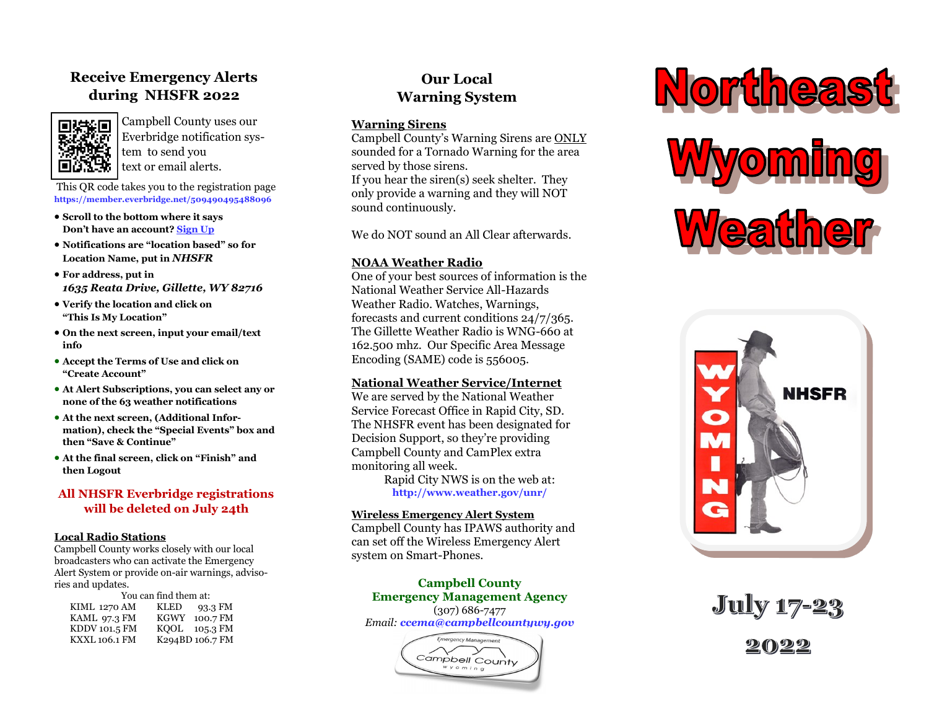# **Receive Emergency Alerts during NHSFR 2022**



Campbell County uses our Everbridge notification system to send you text or email alerts.

This QR code takes you to the registration page **https://member.everbridge.net/509490495488096**

- **Scroll to the bottom where it says Don't have an account? Sign Up**
- **Notifications are "location based" so for Location Name, put in** *NHSFR*
- **For address, put in**  *1635 Reata Drive, Gillette, WY 82716*
- **Verify the location and click on "This Is My Location"**
- **On the next screen, input your email/text info**
- **Accept the Terms of Use and click on "Create Account"**
- **At Alert Subscriptions, you can select any or none of the 63 weather notifications**
- **At the next screen, (Additional Information), check the "Special Events" box and then "Save & Continue"**
- **At the final screen, click on "Finish" and then Logout**

# **All NHSFR Everbridge registrations will be deleted on July 24th**

#### **Local Radio Stations**

Campbell County works closely with our local broadcasters who can activate the Emergency Alert System or provide on-air warnings, advisories and updates.

| You can find them at: |                        |
|-----------------------|------------------------|
| <b>KIML 1270 AM</b>   | 93.3 FM<br><b>KLED</b> |
| KAML 97.3 FM          | 100.7 FM<br>KGWY       |
| KDDV 101.5 FM         | $KOOL$ 105.3 FM        |
| <b>KXXL 106.1 FM</b>  | K294BD 106.7 FM        |

# **Our Local Warning System**

### **Warning Sirens**

Campbell County's Warning Sirens are ONLY sounded for a Tornado Warning for the area served by those sirens.

If you hear the siren(s) seek shelter. They only provide a warning and they will NOT sound continuously.

We do NOT sound an All Clear afterwards.

# **NOAA Weather Radio**

One of your best sources of information is the National Weather Service All-Hazards Weather Radio. Watches, Warnings, forecasts and current conditions 24/7/365. The Gillette Weather Radio is WNG-660 at 162.500 mhz. Our Specific Area Message Encoding (SAME) code is 556005.

### **National Weather Service/Internet**

We are served by the National Weather Service Forecast Office in Rapid City, SD. The NHSFR event has been designated for Decision Support, so they're providing Campbell County and CamPlex extra monitoring all week.

Rapid City NWS is on the web at: **http://www.weather.gov/unr/**

### **Wireless Emergency Alert System**

Campbell County has IPAWS authority and can set off the Wireless Emergency Alert system on Smart-Phones.

**Campbell County Emergency Management Agency** (307) 686-7477 *Email: ccema@campbellcountywy.gov*

> Emergency Management Campbell County  $Wy$  om  $in g$





**July 17-23**